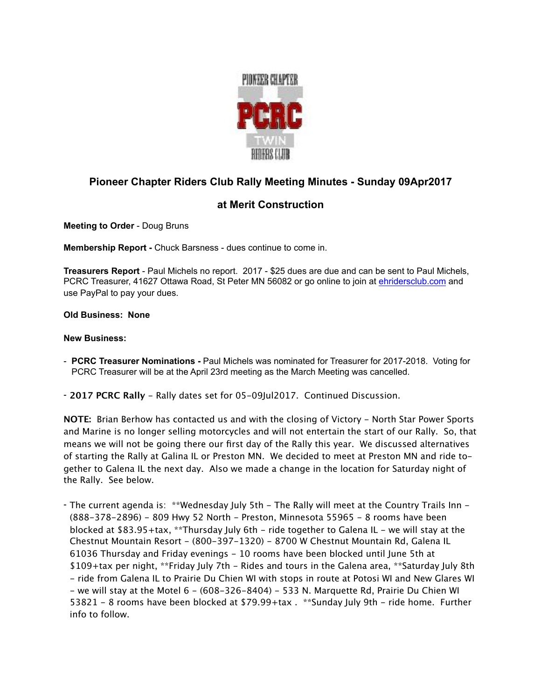

## **Pioneer Chapter Riders Club Rally Meeting Minutes - Sunday 09Apr2017**

## **at Merit Construction**

**Meeting to Order** - Doug Bruns

**Membership Report -** Chuck Barsness - dues continue to come in.

**Treasurers Report** - Paul Michels no report. 2017 - \$25 dues are due and can be sent to Paul Michels, PCRC Treasurer, 41627 Ottawa Road, St Peter MN 56082 or go online to join at [ehridersclub.com](http://ehridersclub.com) and use PayPal to pay your dues.

## **Old Business: None**

## **New Business:**

- **PCRC Treasurer Nominations** Paul Michels was nominated for Treasurer for 2017-2018. Voting for PCRC Treasurer will be at the April 23rd meeting as the March Meeting was cancelled.
- **2017 PCRC Rally** Rally dates set for 05-09Jul2017. Continued Discussion.

**NOTE:** Brian Berhow has contacted us and with the closing of Victory - North Star Power Sports and Marine is no longer selling motorcycles and will not entertain the start of our Rally. So, that means we will not be going there our first day of the Rally this year. We discussed alternatives of starting the Rally at Galina IL or Preston MN. We decided to meet at Preston MN and ride together to Galena IL the next day. Also we made a change in the location for Saturday night of the Rally. See below.

- The current agenda is: \*\*Wednesday July 5th - The Rally will meet at the Country Trails Inn -(888-378-2896) - 809 Hwy 52 North - Preston, Minnesota 55965 - 8 rooms have been blocked at \$83.95+tax, \*\*Thursday July 6th - ride together to Galena IL - we will stay at the Chestnut Mountain Resort - (800-397-1320) - 8700 W Chestnut Mountain Rd, Galena IL 61036 Thursday and Friday evenings - 10 rooms have been blocked until June 5th at \$109+tax per night, \*\*Friday July 7th - Rides and tours in the Galena area, \*\*Saturday July 8th - ride from Galena IL to Prairie Du Chien WI with stops in route at Potosi WI and New Glares WI - we will stay at the Motel  $6 - (608 - 326 - 8404) - 533$  N. Marquette Rd, Prairie Du Chien WI 53821 - 8 rooms have been blocked at \$79.99+tax . \*\*Sunday July 9th - ride home. Further info to follow.